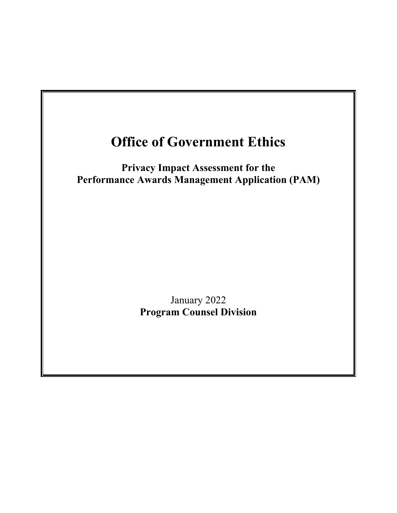# **Office of Government Ethics**

**Privacy Impact Assessment for the Performance Awards Management Application (PAM)**

> January 2022 **Program Counsel Division**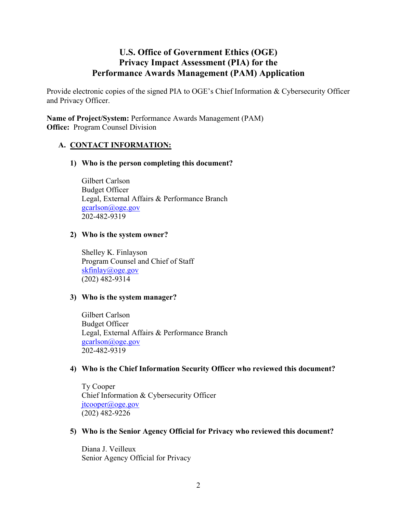## **U.S. Office of Government Ethics (OGE) Privacy Impact Assessment (PIA) for the Performance Awards Management (PAM) Application**

Provide electronic copies of the signed PIA to OGE's Chief Information & Cybersecurity Officer and Privacy Officer.

**Name of Project/System:** Performance Awards Management (PAM) **Office:** Program Counsel Division

## **A. CONTACT INFORMATION:**

## **1) Who is the person completing this document?**

Gilbert Carlson Budget Officer Legal, External Affairs & Performance Branch [gcarlson@oge.gov](mailto:gcarlson@oge.gov) 202-482-9319

#### **2) Who is the system owner?**

Shelley K. Finlayson Program Counsel and Chief of Staff [skfinlay@oge.gov](mailto:skfinlay@oge.gov) (202) 482-9314

#### **3) Who is the system manager?**

Gilbert Carlson Budget Officer Legal, External Affairs & Performance Branch [gcarlson@oge.gov](mailto:gcarlson@oge.gov) 202-482-9319

#### **4) Who is the Chief Information Security Officer who reviewed this document?**

Ty Cooper Chief Information & Cybersecurity Officer [jtcooper@oge.gov](mailto:jtcooper@oge.gov) (202) 482-9226

#### **5) Who is the Senior Agency Official for Privacy who reviewed this document?**

Diana J. Veilleux Senior Agency Official for Privacy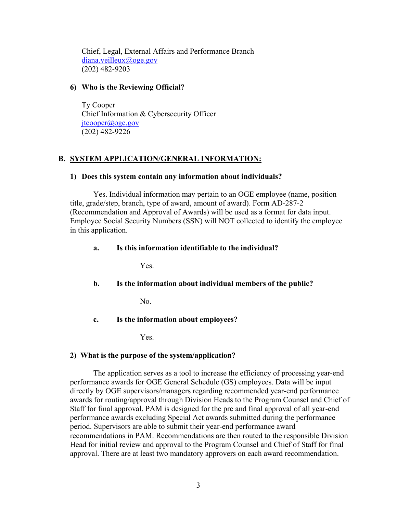Chief, Legal, External Affairs and Performance Branch [diana.veilleux@oge.gov](mailto:diana.veilleux@oge.gov) (202) 482-9203

#### **6) Who is the Reviewing Official?**

 Ty Cooper Chief Information & Cybersecurity Officer [jtcooper@oge.gov](mailto:jtcooper@oge.gov) (202) 482-9226

## **B. SYSTEM APPLICATION/GENERAL INFORMATION:**

#### **1) Does this system contain any information about individuals?**

Yes. Individual information may pertain to an OGE employee (name, position title, grade/step, branch, type of award, amount of award). Form AD-287-2 (Recommendation and Approval of Awards) will be used as a format for data input. Employee Social Security Numbers (SSN) will NOT collected to identify the employee in this application.

## **a. Is this information identifiable to the individual?**

Yes.

## **b. Is the information about individual members of the public?**

No.

#### **c. Is the information about employees?**

Yes.

#### **2) What is the purpose of the system/application?**

The application serves as a tool to increase the efficiency of processing year-end performance awards for OGE General Schedule (GS) employees. Data will be input directly by OGE supervisors/managers regarding recommended year-end performance awards for routing/approval through Division Heads to the Program Counsel and Chief of Staff for final approval. PAM is designed for the pre and final approval of all year-end performance awards excluding Special Act awards submitted during the performance period. Supervisors are able to submit their year-end performance award recommendations in PAM. Recommendations are then routed to the responsible Division Head for initial review and approval to the Program Counsel and Chief of Staff for final approval. There are at least two mandatory approvers on each award recommendation.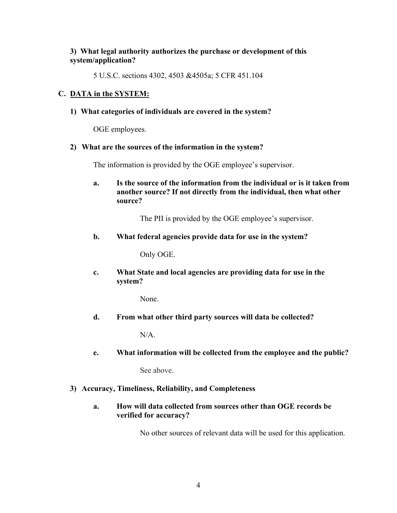## **3) What legal authority authorizes the purchase or development of this system/application?**

5 U.S.C. sections 4302, 4503 &4505a; 5 CFR 451.104

## **C. DATA in the SYSTEM:**

**1) What categories of individuals are covered in the system?** 

OGE employees.

#### **2) What are the sources of the information in the system?**

The information is provided by the OGE employee's supervisor.

**a. Is the source of the information from the individual or is it taken from another source? If not directly from the individual, then what other source?**

The PII is provided by the OGE employee's supervisor.

**b. What federal agencies provide data for use in the system?**

Only OGE.

**c. What State and local agencies are providing data for use in the system?**

None.

**d. From what other third party sources will data be collected?**

N/A.

**e. What information will be collected from the employee and the public?**

See above.

#### **3) Accuracy, Timeliness, Reliability, and Completeness**

**a. How will data collected from sources other than OGE records be verified for accuracy?**

No other sources of relevant data will be used for this application.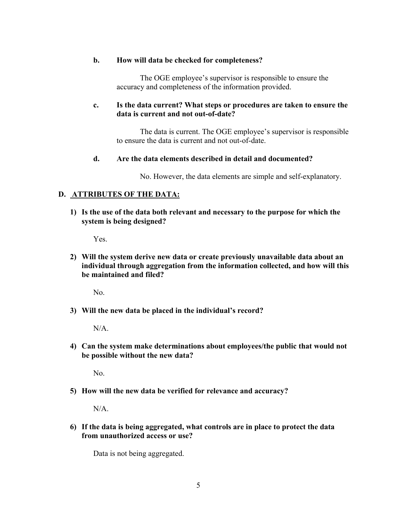#### **b. How will data be checked for completeness?**

The OGE employee's supervisor is responsible to ensure the accuracy and completeness of the information provided.

## **c. Is the data current? What steps or procedures are taken to ensure the data is current and not out-of-date?**

The data is current. The OGE employee's supervisor is responsible to ensure the data is current and not out-of-date.

## **d. Are the data elements described in detail and documented?**

No. However, the data elements are simple and self-explanatory.

## **D. ATTRIBUTES OF THE DATA:**

**1) Is the use of the data both relevant and necessary to the purpose for which the system is being designed?**

Yes.

**2) Will the system derive new data or create previously unavailable data about an individual through aggregation from the information collected, and how will this be maintained and filed?**

No.

**3) Will the new data be placed in the individual's record?**

N/A.

**4) Can the system make determinations about employees/the public that would not be possible without the new data?**

No.

**5) How will the new data be verified for relevance and accuracy?**

N/A.

**6) If the data is being aggregated, what controls are in place to protect the data from unauthorized access or use?**

Data is not being aggregated.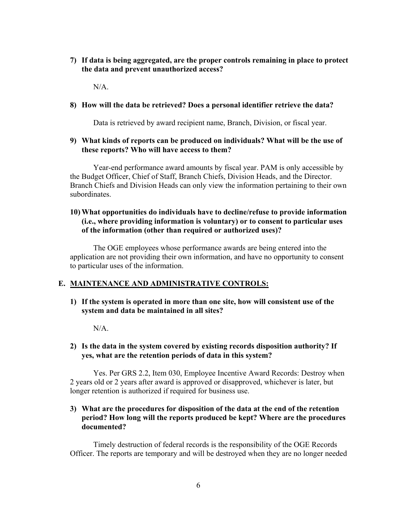**7) If data is being aggregated, are the proper controls remaining in place to protect the data and prevent unauthorized access?**

 $N/A$ .

#### **8) How will the data be retrieved? Does a personal identifier retrieve the data?**

Data is retrieved by award recipient name, Branch, Division, or fiscal year.

#### **9) What kinds of reports can be produced on individuals? What will be the use of these reports? Who will have access to them?**

Year-end performance award amounts by fiscal year. PAM is only accessible by the Budget Officer, Chief of Staff, Branch Chiefs, Division Heads, and the Director. Branch Chiefs and Division Heads can only view the information pertaining to their own subordinates.

#### **10) What opportunities do individuals have to decline/refuse to provide information (i.e., where providing information is voluntary) or to consent to particular uses of the information (other than required or authorized uses)?**

The OGE employees whose performance awards are being entered into the application are not providing their own information, and have no opportunity to consent to particular uses of the information.

#### **E. MAINTENANCE AND ADMINISTRATIVE CONTROLS:**

**1) If the system is operated in more than one site, how will consistent use of the system and data be maintained in all sites?**

N/A.

#### **2) Is the data in the system covered by existing records disposition authority? If yes, what are the retention periods of data in this system?**

Yes. Per GRS 2.2, Item 030, Employee Incentive Award Records: Destroy when 2 years old or 2 years after award is approved or disapproved, whichever is later, but longer retention is authorized if required for business use.

#### **3) What are the procedures for disposition of the data at the end of the retention period? How long will the reports produced be kept? Where are the procedures documented?**

Timely destruction of federal records is the responsibility of the OGE Records Officer. The reports are temporary and will be destroyed when they are no longer needed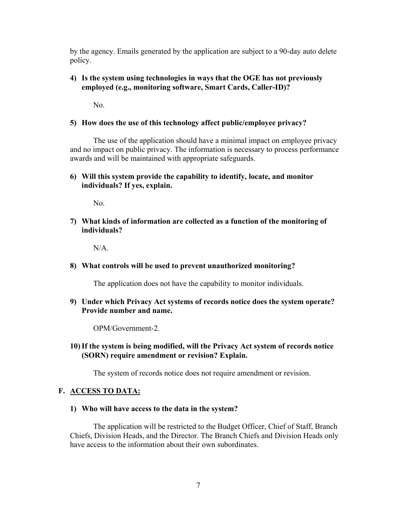by the agency. Emails generated by the application are subject to a 90-day auto delete policy.

## **4) Is the system using technologies in ways that the OGE has not previously employed (e.g., monitoring software, Smart Cards, Caller-ID)?**

No.

## **5) How does the use of this technology affect public/employee privacy?**

The use of the application should have a minimal impact on employee privacy and no impact on public privacy. The information is necessary to process performance awards and will be maintained with appropriate safeguards.

## **6) Will this system provide the capability to identify, locate, and monitor individuals? If yes, explain.**

No.

**7) What kinds of information are collected as a function of the monitoring of individuals?**

N/A.

#### **8) What controls will be used to prevent unauthorized monitoring?**

The application does not have the capability to monitor individuals.

**9) Under which Privacy Act systems of records notice does the system operate? Provide number and name.**

OPM/Government-2.

**10)If the system is being modified, will the Privacy Act system of records notice (SORN) require amendment or revision? Explain.**

The system of records notice does not require amendment or revision.

## **F. ACCESS TO DATA:**

**1) Who will have access to the data in the system?** 

The application will be restricted to the Budget Officer, Chief of Staff, Branch Chiefs, Division Heads, and the Director. The Branch Chiefs and Division Heads only have access to the information about their own subordinates.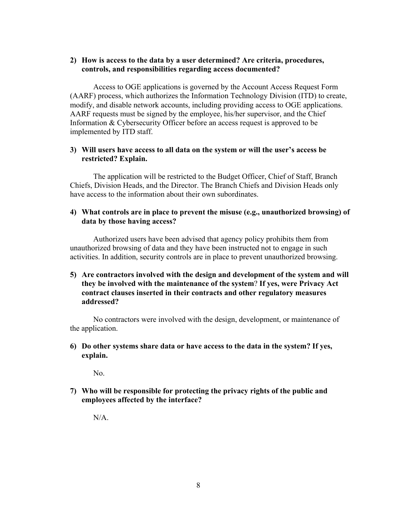## **2) How is access to the data by a user determined? Are criteria, procedures, controls, and responsibilities regarding access documented?**

Access to OGE applications is governed by the Account Access Request Form (AARF) process, which authorizes the Information Technology Division (ITD) to create, modify, and disable network accounts, including providing access to OGE applications. AARF requests must be signed by the employee, his/her supervisor, and the Chief Information & Cybersecurity Officer before an access request is approved to be implemented by ITD staff.

## **3) Will users have access to all data on the system or will the user's access be restricted? Explain.**

The application will be restricted to the Budget Officer, Chief of Staff, Branch Chiefs, Division Heads, and the Director. The Branch Chiefs and Division Heads only have access to the information about their own subordinates.

#### **4) What controls are in place to prevent the misuse (e.g., unauthorized browsing) of data by those having access?**

Authorized users have been advised that agency policy prohibits them from unauthorized browsing of data and they have been instructed not to engage in such activities. In addition, security controls are in place to prevent unauthorized browsing.

**5) Are contractors involved with the design and development of the system and will they be involved with the maintenance of the system**? **If yes, were Privacy Act contract clauses inserted in their contracts and other regulatory measures addressed?**

No contractors were involved with the design, development, or maintenance of the application.

#### **6) Do other systems share data or have access to the data in the system? If yes, explain.**

No.

**7) Who will be responsible for protecting the privacy rights of the public and employees affected by the interface?**

N/A.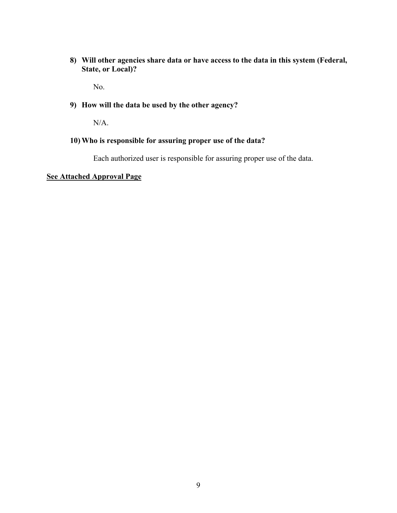**8) Will other agencies share data or have access to the data in this system (Federal, State, or Local)?**

No.

## **9) How will the data be used by the other agency?**

N/A.

## **10) Who is responsible for assuring proper use of the data?**

Each authorized user is responsible for assuring proper use of the data.

## **See Attached Approval Page**